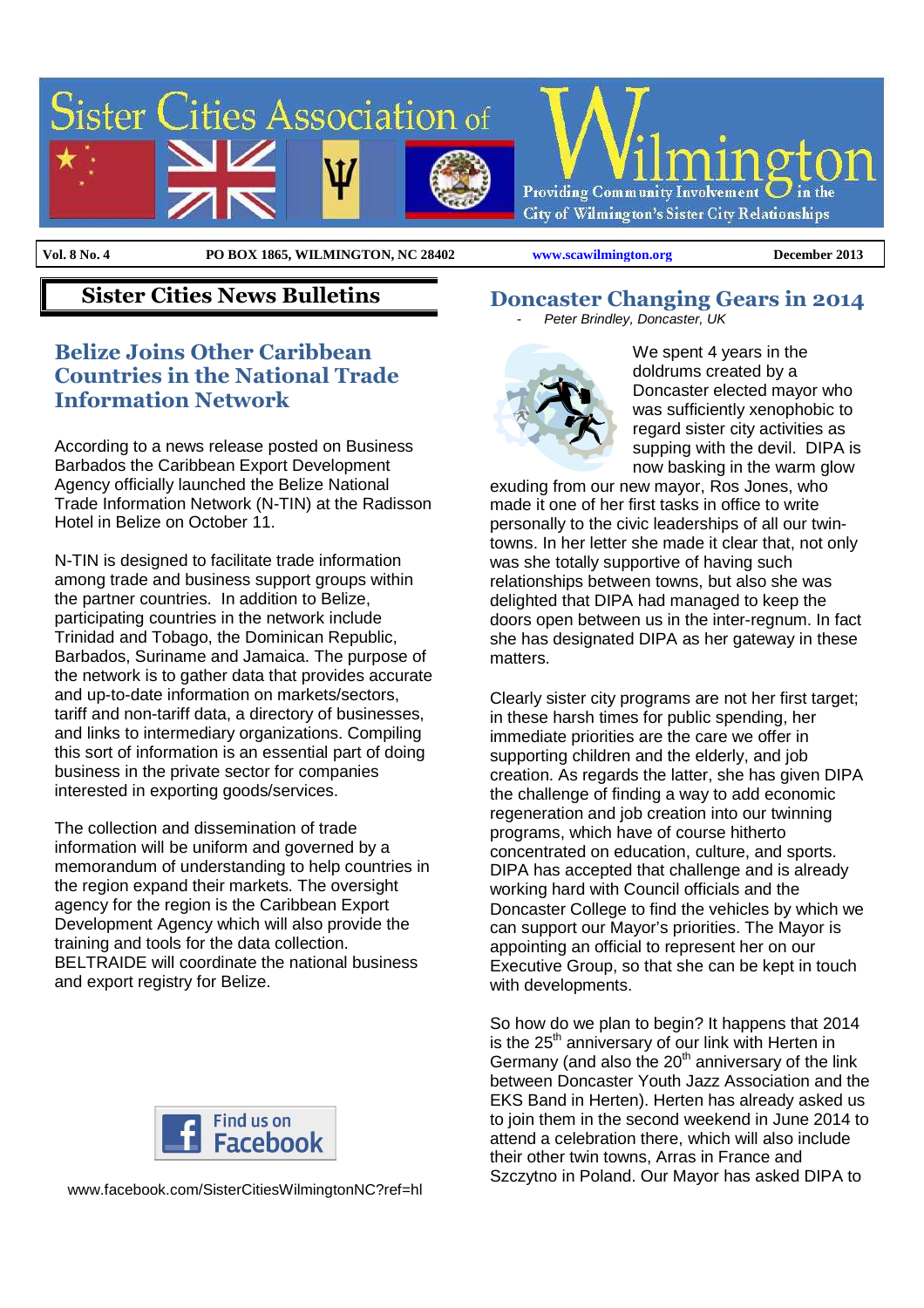

**Vol. 8 No. 4** 

**Vol. 8 No. 4 PO BOX 1865, WILMINGTON, NC 28402 www.scawilmington.org December 2013**

## **Sister Cities News Bulletins**

#### **Belize Joins Other Caribbean Countries in the National Trade Information Network**

According to a news release posted on Business Barbados the Caribbean Export Development Agency officially launched the Belize National Trade Information Network (N-TIN) at the Radisson Hotel in Belize on October 11.

N-TIN is designed to facilitate trade information among trade and business support groups within the partner countries. In addition to Belize, participating countries in the network include Trinidad and Tobago, the Dominican Republic, Barbados, Suriname and Jamaica. The purpose of the network is to gather data that provides accurate and up-to-date information on markets/sectors, tariff and non-tariff data, a directory of businesses, and links to intermediary organizations. Compiling this sort of information is an essential part of doing business in the private sector for companies interested in exporting goods/services.

The collection and dissemination of trade information will be uniform and governed by a memorandum of understanding to help countries in the region expand their markets. The oversight agency for the region is the Caribbean Export Development Agency which will also provide the training and tools for the data collection. BELTRAIDE will coordinate the national business and export registry for Belize.



www.facebook.com/SisterCitiesWilmingtonNC?ref=hl

**Doncaster Changing Gears in 2014**  Peter Brindley, Doncaster, UK



We spent 4 years in the doldrums created by a Doncaster elected mayor who was sufficiently xenophobic to regard sister city activities as supping with the devil. DIPA is now basking in the warm glow

exuding from our new mayor, Ros Jones, who made it one of her first tasks in office to write personally to the civic leaderships of all our twintowns. In her letter she made it clear that, not only was she totally supportive of having such relationships between towns, but also she was delighted that DIPA had managed to keep the doors open between us in the inter-regnum. In fact she has designated DIPA as her gateway in these matters.

Clearly sister city programs are not her first target; in these harsh times for public spending, her immediate priorities are the care we offer in supporting children and the elderly, and job creation. As regards the latter, she has given DIPA the challenge of finding a way to add economic regeneration and job creation into our twinning programs, which have of course hitherto concentrated on education, culture, and sports. DIPA has accepted that challenge and is already working hard with Council officials and the Doncaster College to find the vehicles by which we can support our Mayor's priorities. The Mayor is appointing an official to represent her on our Executive Group, so that she can be kept in touch with developments.

So how do we plan to begin? It happens that 2014 is the  $25<sup>th</sup>$  anniversary of our link with Herten in Germany (and also the  $20<sup>th</sup>$  anniversary of the link between Doncaster Youth Jazz Association and the EKS Band in Herten). Herten has already asked us to join them in the second weekend in June 2014 to attend a celebration there, which will also include their other twin towns, Arras in France and Szczytno in Poland. Our Mayor has asked DIPA to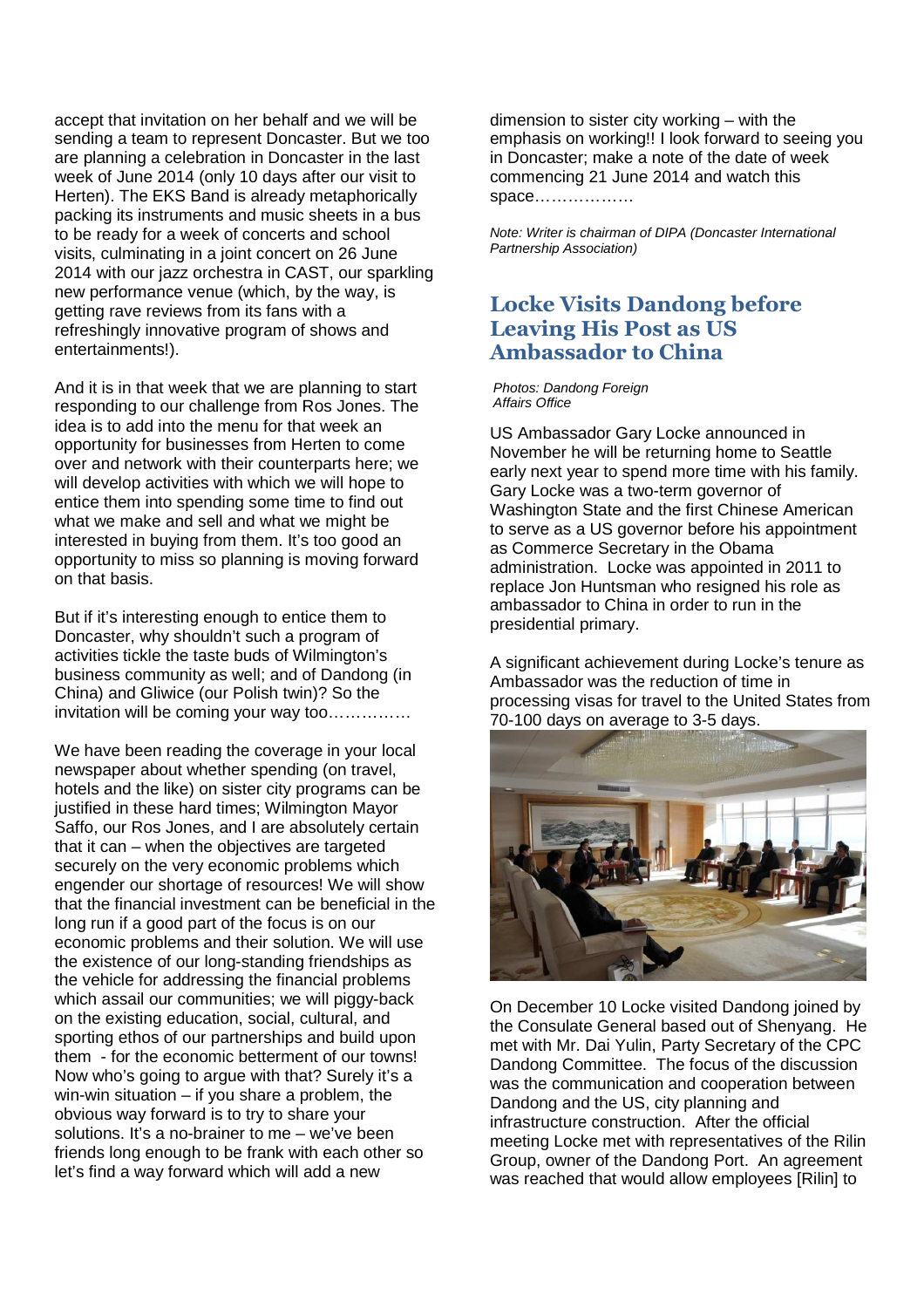accept that invitation on her behalf and we will be sending a team to represent Doncaster. But we too are planning a celebration in Doncaster in the last week of June 2014 (only 10 days after our visit to Herten). The EKS Band is already metaphorically packing its instruments and music sheets in a bus to be ready for a week of concerts and school visits, culminating in a joint concert on 26 June 2014 with our jazz orchestra in CAST, our sparkling new performance venue (which, by the way, is getting rave reviews from its fans with a refreshingly innovative program of shows and entertainments!).

And it is in that week that we are planning to start responding to our challenge from Ros Jones. The idea is to add into the menu for that week an opportunity for businesses from Herten to come over and network with their counterparts here; we will develop activities with which we will hope to entice them into spending some time to find out what we make and sell and what we might be interested in buying from them. It's too good an opportunity to miss so planning is moving forward on that basis.

But if it's interesting enough to entice them to Doncaster, why shouldn't such a program of activities tickle the taste buds of Wilmington's business community as well; and of Dandong (in China) and Gliwice (our Polish twin)? So the invitation will be coming your way too……………

We have been reading the coverage in your local newspaper about whether spending (on travel, hotels and the like) on sister city programs can be justified in these hard times; Wilmington Mayor Saffo, our Ros Jones, and I are absolutely certain that it can – when the objectives are targeted securely on the very economic problems which engender our shortage of resources! We will show that the financial investment can be beneficial in the long run if a good part of the focus is on our economic problems and their solution. We will use the existence of our long-standing friendships as the vehicle for addressing the financial problems which assail our communities; we will piggy-back on the existing education, social, cultural, and sporting ethos of our partnerships and build upon them - for the economic betterment of our towns! Now who's going to argue with that? Surely it's a win-win situation – if you share a problem, the obvious way forward is to try to share your solutions. It's a no-brainer to me – we've been friends long enough to be frank with each other so let's find a way forward which will add a new

dimension to sister city working – with the emphasis on working!! I look forward to seeing you in Doncaster; make a note of the date of week commencing 21 June 2014 and watch this space………………

Note: Writer is chairman of DIPA (Doncaster International Partnership Association)

#### **Locke Visits Dandong before Leaving His Post as US Ambassador to China**

Photos: Dandong Foreign Affairs Office

US Ambassador Gary Locke announced in November he will be returning home to Seattle early next year to spend more time with his family. Gary Locke was a two-term governor of Washington State and the first Chinese American to serve as a US governor before his appointment as Commerce Secretary in the Obama administration. Locke was appointed in 2011 to replace Jon Huntsman who resigned his role as ambassador to China in order to run in the presidential primary.

A significant achievement during Locke's tenure as Ambassador was the reduction of time in processing visas for travel to the United States from 70-100 days on average to 3-5 days.



On December 10 Locke visited Dandong joined by the Consulate General based out of Shenyang. He met with Mr. Dai Yulin, Party Secretary of the CPC Dandong Committee. The focus of the discussion was the communication and cooperation between Dandong and the US, city planning and infrastructure construction. After the official meeting Locke met with representatives of the Rilin Group, owner of the Dandong Port. An agreement was reached that would allow employees [Rilin] to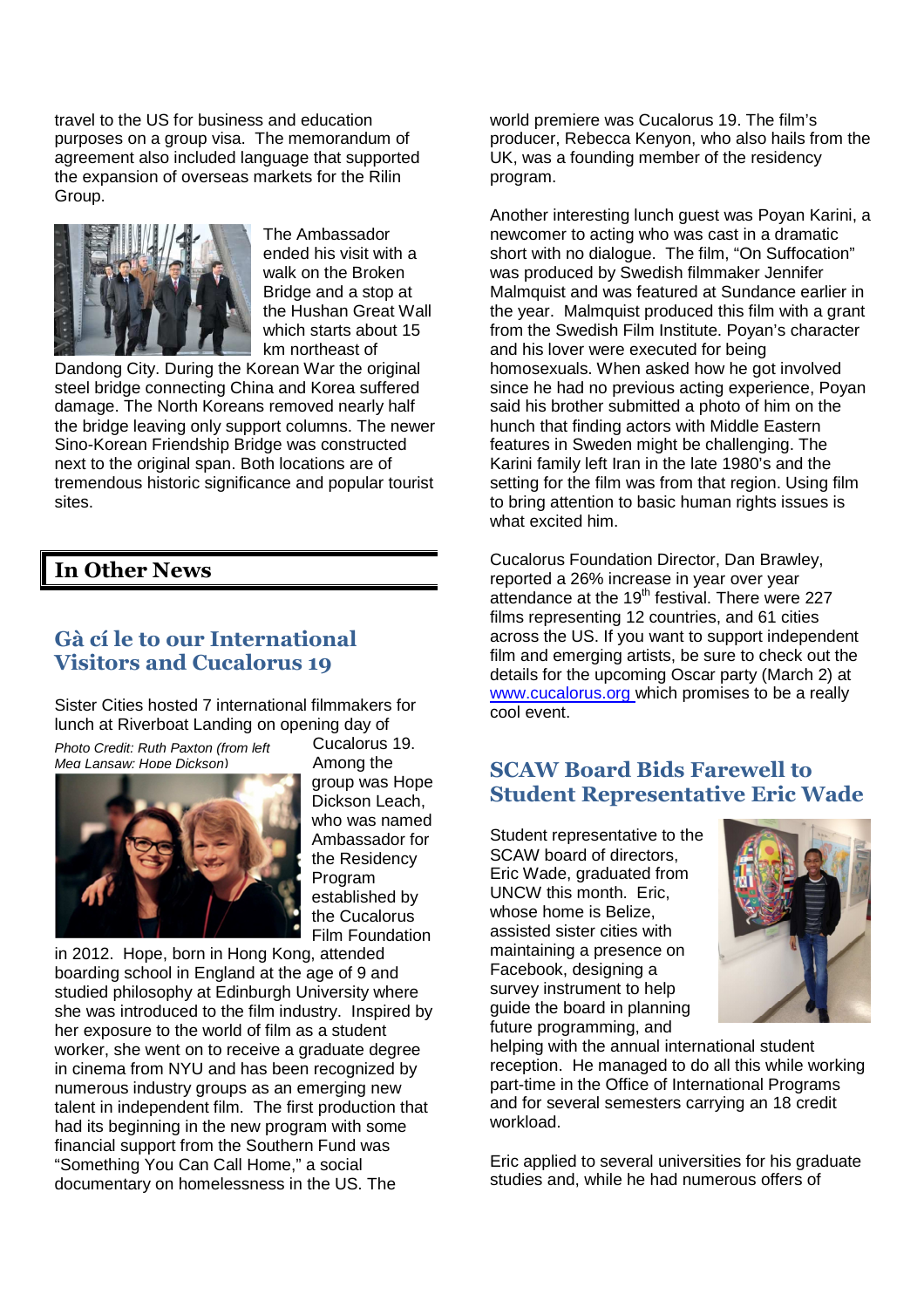travel to the US for business and education purposes on a group visa. The memorandum of agreement also included language that supported the expansion of overseas markets for the Rilin Group.



The Ambassador ended his visit with a walk on the Broken Bridge and a stop at the Hushan Great Wall which starts about 15 km northeast of

Dandong City. During the Korean War the original steel bridge connecting China and Korea suffered damage. The North Koreans removed nearly half the bridge leaving only support columns. The newer Sino-Korean Friendship Bridge was constructed next to the original span. Both locations are of tremendous historic significance and popular tourist sites.

#### **In Other News**

## **Gà cí le to our International Visitors and Cucalorus 19**

Sister Cities hosted 7 international filmmakers for lunch at Riverboat Landing on opening day of

Photo Credit: Ruth Paxton (from left Meg Lansaw; Hope Dickson)



Cucalorus 19. Among the group was Hope Dickson Leach, who was named Ambassador for the Residency Program established by the Cucalorus Film Foundation

in 2012. Hope, born in Hong Kong, attended boarding school in England at the age of 9 and studied philosophy at Edinburgh University where she was introduced to the film industry. Inspired by her exposure to the world of film as a student worker, she went on to receive a graduate degree in cinema from NYU and has been recognized by numerous industry groups as an emerging new talent in independent film. The first production that had its beginning in the new program with some financial support from the Southern Fund was "Something You Can Call Home," a social documentary on homelessness in the US. The

world premiere was Cucalorus 19. The film's producer, Rebecca Kenyon, who also hails from the UK, was a founding member of the residency program.

Another interesting lunch guest was Poyan Karini, a newcomer to acting who was cast in a dramatic short with no dialogue. The film, "On Suffocation" was produced by Swedish filmmaker Jennifer Malmquist and was featured at Sundance earlier in the year. Malmquist produced this film with a grant from the Swedish Film Institute. Poyan's character and his lover were executed for being homosexuals. When asked how he got involved since he had no previous acting experience, Poyan said his brother submitted a photo of him on the hunch that finding actors with Middle Eastern features in Sweden might be challenging. The Karini family left Iran in the late 1980's and the setting for the film was from that region. Using film to bring attention to basic human rights issues is what excited him.

Cucalorus Foundation Director, Dan Brawley, reported a 26% increase in year over year attendance at the 19<sup>th</sup> festival. There were 227 films representing 12 countries, and 61 cities across the US. If you want to support independent film and emerging artists, be sure to check out the details for the upcoming Oscar party (March 2) at www.cucalorus.org which promises to be a really cool event.

#### **SCAW Board Bids Farewell to Student Representative Eric Wade**

Student representative to the SCAW board of directors, Eric Wade, graduated from UNCW this month. Eric, whose home is Belize assisted sister cities with maintaining a presence on Facebook, designing a survey instrument to help guide the board in planning future programming, and



helping with the annual international student reception. He managed to do all this while working part-time in the Office of International Programs and for several semesters carrying an 18 credit workload.

Eric applied to several universities for his graduate studies and, while he had numerous offers of